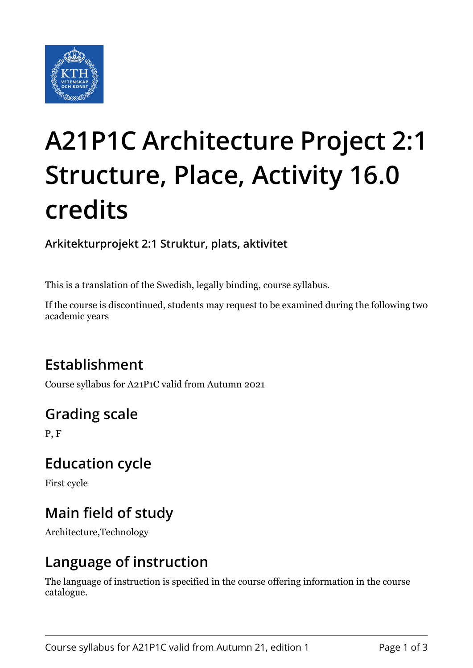

# **A21P1C Architecture Project 2:1 Structure, Place, Activity 16.0 credits**

**Arkitekturprojekt 2:1 Struktur, plats, aktivitet**

This is a translation of the Swedish, legally binding, course syllabus.

If the course is discontinued, students may request to be examined during the following two academic years

## **Establishment**

Course syllabus for A21P1C valid from Autumn 2021

## **Grading scale**

P, F

#### **Education cycle**

First cycle

## **Main field of study**

Architecture,Technology

#### **Language of instruction**

The language of instruction is specified in the course offering information in the course catalogue.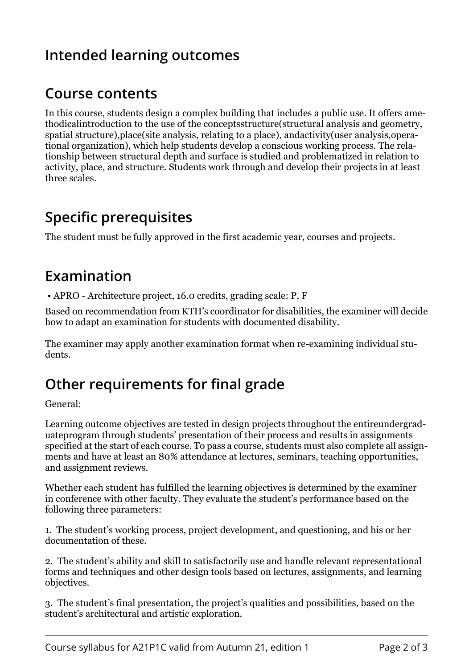## **Intended learning outcomes**

#### **Course contents**

In this course, students design a complex building that includes a public use. It offers amethodicalintroduction to the use of the conceptsstructure(structural analysis and geometry, spatial structure),place(site analysis, relating to a place), andactivity(user analysis,operational organization), which help students develop a conscious working process. The relationship between structural depth and surface is studied and problematized in relation to activity, place, and structure. Students work through and develop their projects in at least three scales.

### **Specific prerequisites**

The student must be fully approved in the first academic year, courses and projects.

#### **Examination**

• APRO - Architecture project, 16.0 credits, grading scale: P, F

Based on recommendation from KTH's coordinator for disabilities, the examiner will decide how to adapt an examination for students with documented disability.

The examiner may apply another examination format when re-examining individual students.

#### **Other requirements for final grade**

General:

Learning outcome objectives are tested in design projects throughout the entireundergraduateprogram through students' presentation of their process and results in assignments specified at the start of each course. To pass a course, students must also complete all assignments and have at least an 80% attendance at lectures, seminars, teaching opportunities, and assignment reviews.

Whether each student has fulfilled the learning objectives is determined by the examiner in conference with other faculty. They evaluate the student's performance based on the following three parameters:

1. The student's working process, project development, and questioning, and his or her documentation of these.

2. The student's ability and skill to satisfactorily use and handle relevant representational forms and techniques and other design tools based on lectures, assignments, and learning objectives.

3. The student's final presentation, the project's qualities and possibilities, based on the student's architectural and artistic exploration.